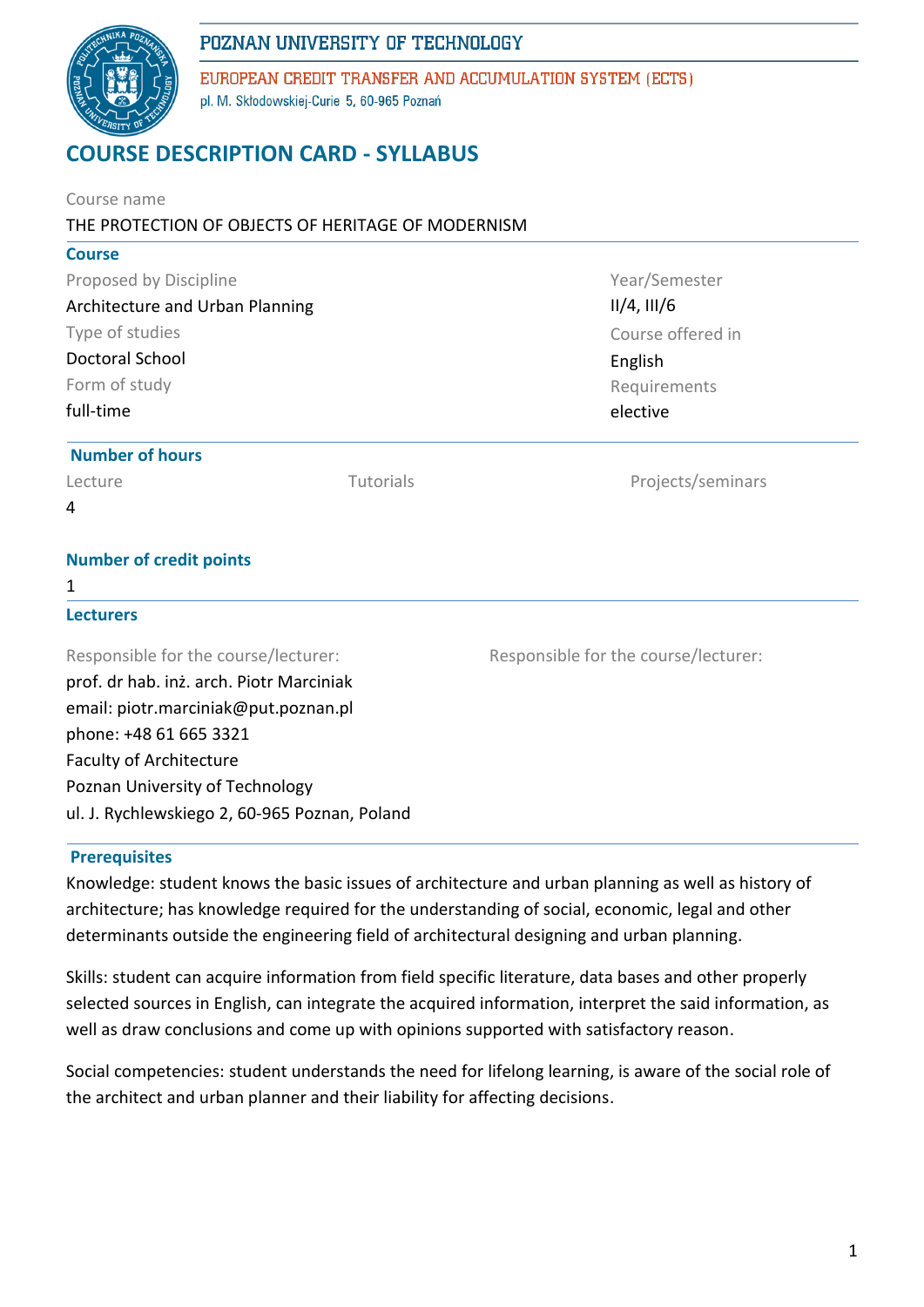

EUROPEAN CREDIT TRANSFER AND ACCUMULATION SYSTEM (ECTS) pl. M. Skłodowskiej-Curie 5, 60-965 Poznań

# **COURSE DESCRIPTION CARD - SYLLABUS**

| Course name<br>THE PROTECTION OF OBJECTS OF HERITAGE OF MODERNISM                             |  |                                                                  |  |                        |                  |                   |
|-----------------------------------------------------------------------------------------------|--|------------------------------------------------------------------|--|------------------------|------------------|-------------------|
| <b>Course</b>                                                                                 |  |                                                                  |  |                        |                  |                   |
| Proposed by Discipline                                                                        |  | Year/Semester                                                    |  |                        |                  |                   |
| Architecture and Urban Planning<br>Type of studies<br><b>Doctoral School</b><br>Form of study |  | $II/4$ , $III/6$<br>Course offered in<br>English<br>Requirements |  |                        |                  |                   |
|                                                                                               |  |                                                                  |  | full-time              |                  | elective          |
|                                                                                               |  |                                                                  |  | <b>Number of hours</b> |                  |                   |
|                                                                                               |  |                                                                  |  | Lecture                | <b>Tutorials</b> | Projects/seminars |
| 4                                                                                             |  |                                                                  |  |                        |                  |                   |
| <b>Number of credit points</b>                                                                |  |                                                                  |  |                        |                  |                   |
| 1                                                                                             |  |                                                                  |  |                        |                  |                   |
| <b>Lecturers</b>                                                                              |  |                                                                  |  |                        |                  |                   |
| Responsible for the course/lecturer:                                                          |  | Responsible for the course/lecturer:                             |  |                        |                  |                   |
| prof. dr hab. inż. arch. Piotr Marciniak                                                      |  |                                                                  |  |                        |                  |                   |
| email: piotr.marciniak@put.poznan.pl                                                          |  |                                                                  |  |                        |                  |                   |
| phone: +48 61 665 3321                                                                        |  |                                                                  |  |                        |                  |                   |
| <b>Faculty of Architecture</b>                                                                |  |                                                                  |  |                        |                  |                   |
| Poznan University of Technology                                                               |  |                                                                  |  |                        |                  |                   |
| ul. J. Rychlewskiego 2, 60-965 Poznan, Poland                                                 |  |                                                                  |  |                        |                  |                   |

#### **Prerequisites**

Knowledge: student knows the basic issues of architecture and urban planning as well as history of architecture; has knowledge required for the understanding of social, economic, legal and other determinants outside the engineering field of architectural designing and urban planning.

Skills: student can acquire information from field specific literature, data bases and other properly selected sources in English, can integrate the acquired information, interpret the said information, as well as draw conclusions and come up with opinions supported with satisfactory reason.

Social competencies: student understands the need for lifelong learning, is aware of the social role of the architect and urban planner and their liability for affecting decisions.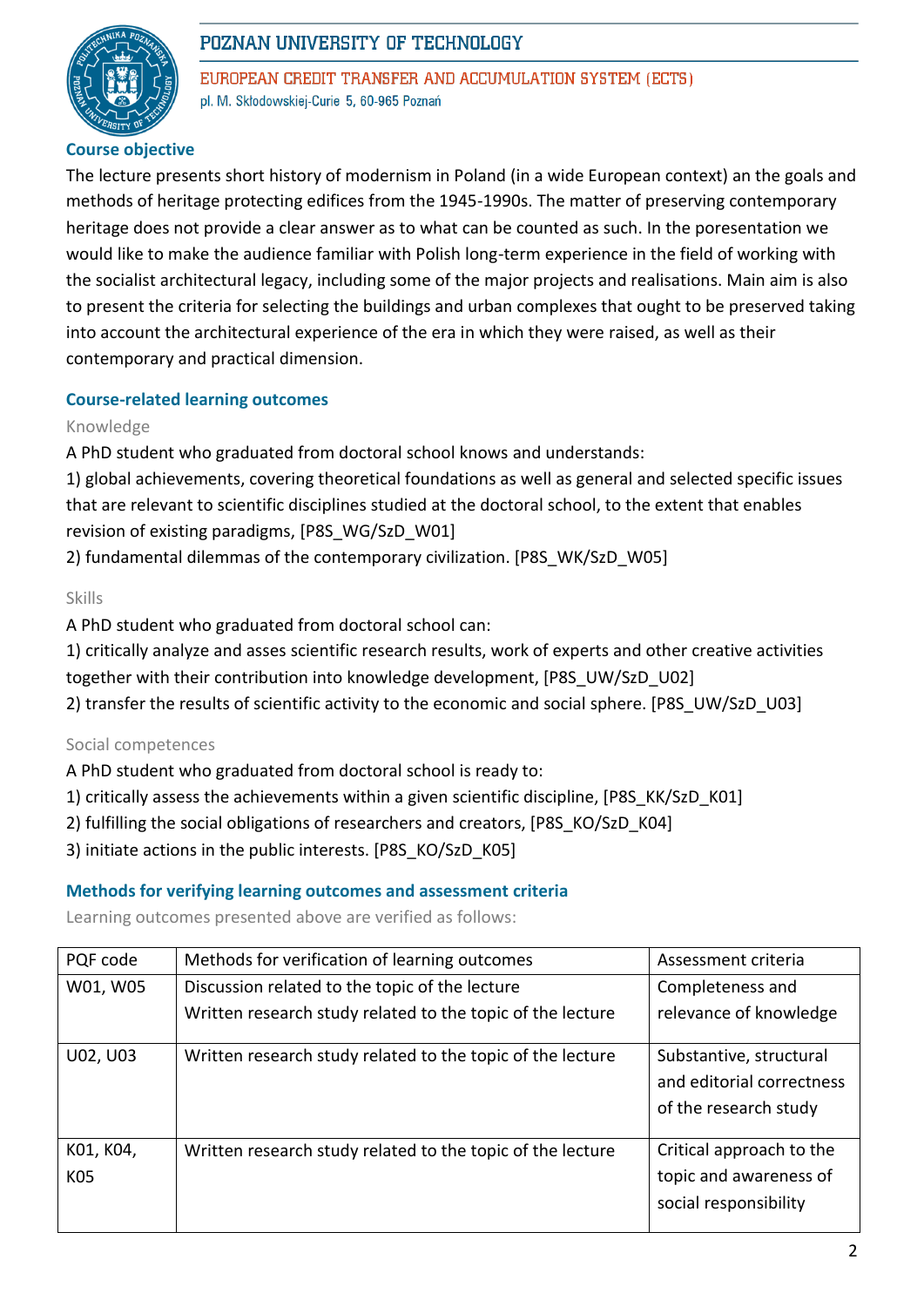

EUROPEAN CREDIT TRANSFER AND ACCUMULATION SYSTEM (ECTS) pl. M. Skłodowskiej-Curie 5, 60-965 Poznań

# **Course objective**

The lecture presents short history of modernism in Poland (in a wide European context) an the goals and methods of heritage protecting edifices from the 1945-1990s. The matter of preserving contemporary heritage does not provide a clear answer as to what can be counted as such. In the poresentation we would like to make the audience familiar with Polish long-term experience in the field of working with the socialist architectural legacy, including some of the major projects and realisations. Main aim is also to present the criteria for selecting the buildings and urban complexes that ought to be preserved taking into account the architectural experience of the era in which they were raised, as well as their contemporary and practical dimension.

## **Course-related learning outcomes**

#### Knowledge

A PhD student who graduated from doctoral school knows and understands:

1) global achievements, covering theoretical foundations as well as general and selected specific issues that are relevant to scientific disciplines studied at the doctoral school, to the extent that enables revision of existing paradigms, [P8S\_WG/SzD\_W01]

2) fundamental dilemmas of the contemporary civilization. [P8S\_WK/SzD\_W05]

#### Skills

A PhD student who graduated from doctoral school can:

1) critically analyze and asses scientific research results, work of experts and other creative activities

together with their contribution into knowledge development, [P8S\_UW/SzD\_U02]

2) transfer the results of scientific activity to the economic and social sphere. [P8S\_UW/SzD\_U03]

#### Social competences

A PhD student who graduated from doctoral school is ready to:

- 1) critically assess the achievements within a given scientific discipline, [P8S\_KK/SzD\_K01]
- 2) fulfilling the social obligations of researchers and creators, [P8S\_KO/SzD\_K04]
- 3) initiate actions in the public interests. [P8S\_KO/SzD\_K05]

#### **Methods for verifying learning outcomes and assessment criteria**

Learning outcomes presented above are verified as follows:

| PQF code         | Methods for verification of learning outcomes              | Assessment criteria                                                           |
|------------------|------------------------------------------------------------|-------------------------------------------------------------------------------|
| W01, W05         | Discussion related to the topic of the lecture             | Completeness and                                                              |
|                  | Written research study related to the topic of the lecture | relevance of knowledge                                                        |
| U02, U03         | Written research study related to the topic of the lecture | Substantive, structural<br>and editorial correctness<br>of the research study |
| K01, K04,<br>K05 | Written research study related to the topic of the lecture | Critical approach to the<br>topic and awareness of<br>social responsibility   |
|                  |                                                            |                                                                               |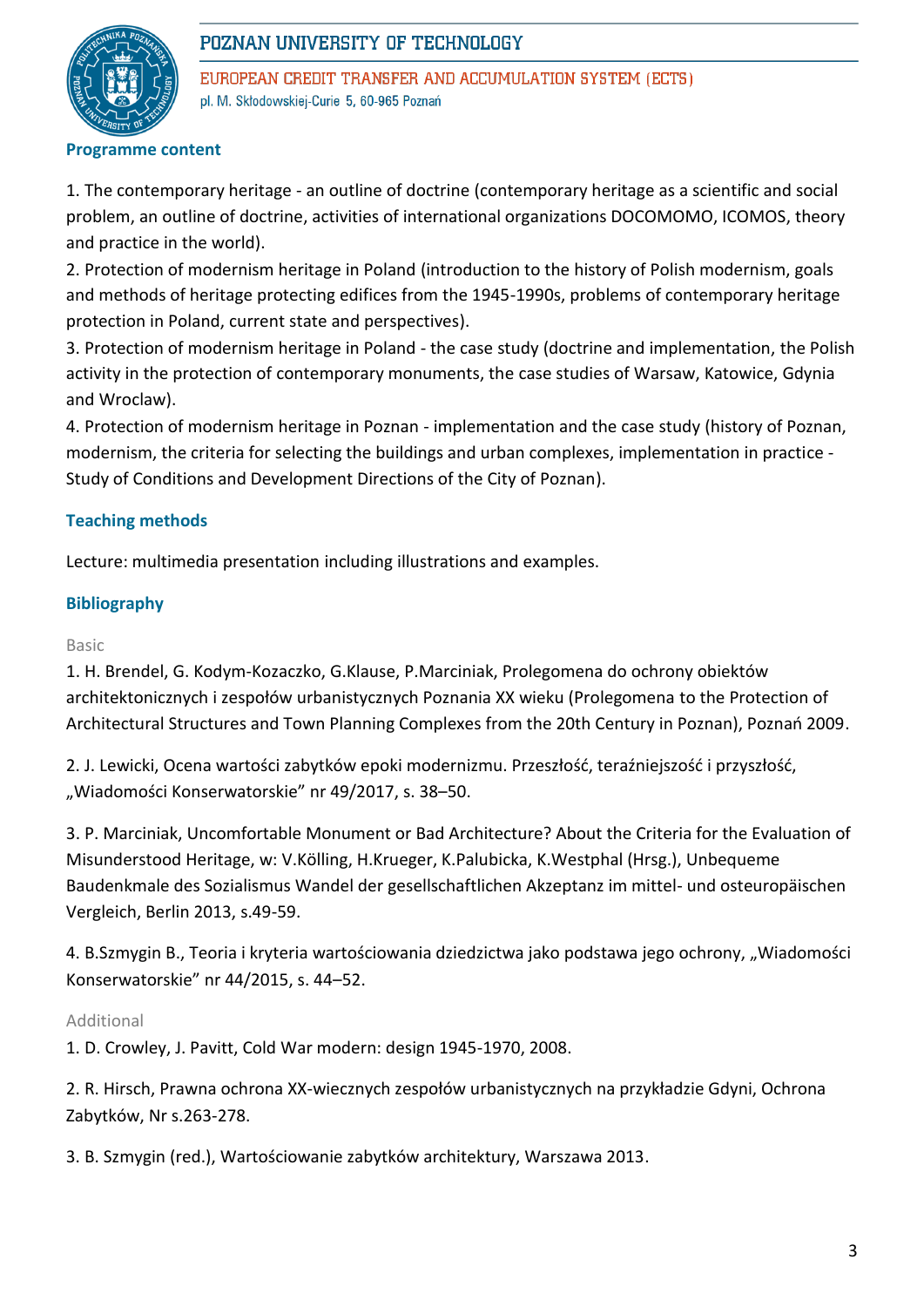

EUROPEAN CREDIT TRANSFER AND ACCUMULATION SYSTEM (ECTS) pl. M. Skłodowskiej-Curie 5, 60-965 Poznań

#### **Programme content**

1. The contemporary heritage - an outline of doctrine (contemporary heritage as a scientific and social problem, an outline of doctrine, activities of international organizations DOCOMOMO, ICOMOS, theory and practice in the world).

2. Protection of modernism heritage in Poland (introduction to the history of Polish modernism, goals and methods of heritage protecting edifices from the 1945-1990s, problems of contemporary heritage protection in Poland, current state and perspectives).

3. Protection of modernism heritage in Poland - the case study (doctrine and implementation, the Polish activity in the protection of contemporary monuments, the case studies of Warsaw, Katowice, Gdynia and Wroclaw).

4. Protection of modernism heritage in Poznan - implementation and the case study (history of Poznan, modernism, the criteria for selecting the buildings and urban complexes, implementation in practice - Study of Conditions and Development Directions of the City of Poznan).

## **Teaching methods**

Lecture: multimedia presentation including illustrations and examples.

## **Bibliography**

#### Basic

1. H. Brendel, G. Kodym-Kozaczko, G.Klause, P.Marciniak, Prolegomena do ochrony obiektów architektonicznych i zespołów urbanistycznych Poznania XX wieku (Prolegomena to the Protection of Architectural Structures and Town Planning Complexes from the 20th Century in Poznan), Poznań 2009.

2. J. Lewicki, Ocena wartości zabytków epoki modernizmu. Przeszłość, teraźniejszość i przyszłość, "Wiadomości Konserwatorskie" nr 49/2017, s. 38-50.

3. P. Marciniak, Uncomfortable Monument or Bad Architecture? About the Criteria for the Evaluation of Misunderstood Heritage, w: V.Kölling, H.Krueger, K.Palubicka, K.Westphal (Hrsg.), Unbequeme Baudenkmale des Sozialismus Wandel der gesellschaftlichen Akzeptanz im mittel- und osteuropäischen Vergleich, Berlin 2013, s.49-59.

4. B.Szmygin B., Teoria i kryteria wartościowania dziedzictwa jako podstawa jego ochrony, "Wiadomości Konserwatorskie" nr 44/2015, s. 44–52.

## Additional

1. D. Crowley, J. Pavitt, Cold War modern: design 1945-1970, 2008.

2. R. Hirsch, Prawna ochrona XX-wiecznych zespołów urbanistycznych na przykładzie Gdyni, Ochrona Zabytków, Nr s.263-278.

3. B. Szmygin (red.), Wartościowanie zabytków architektury, Warszawa 2013.